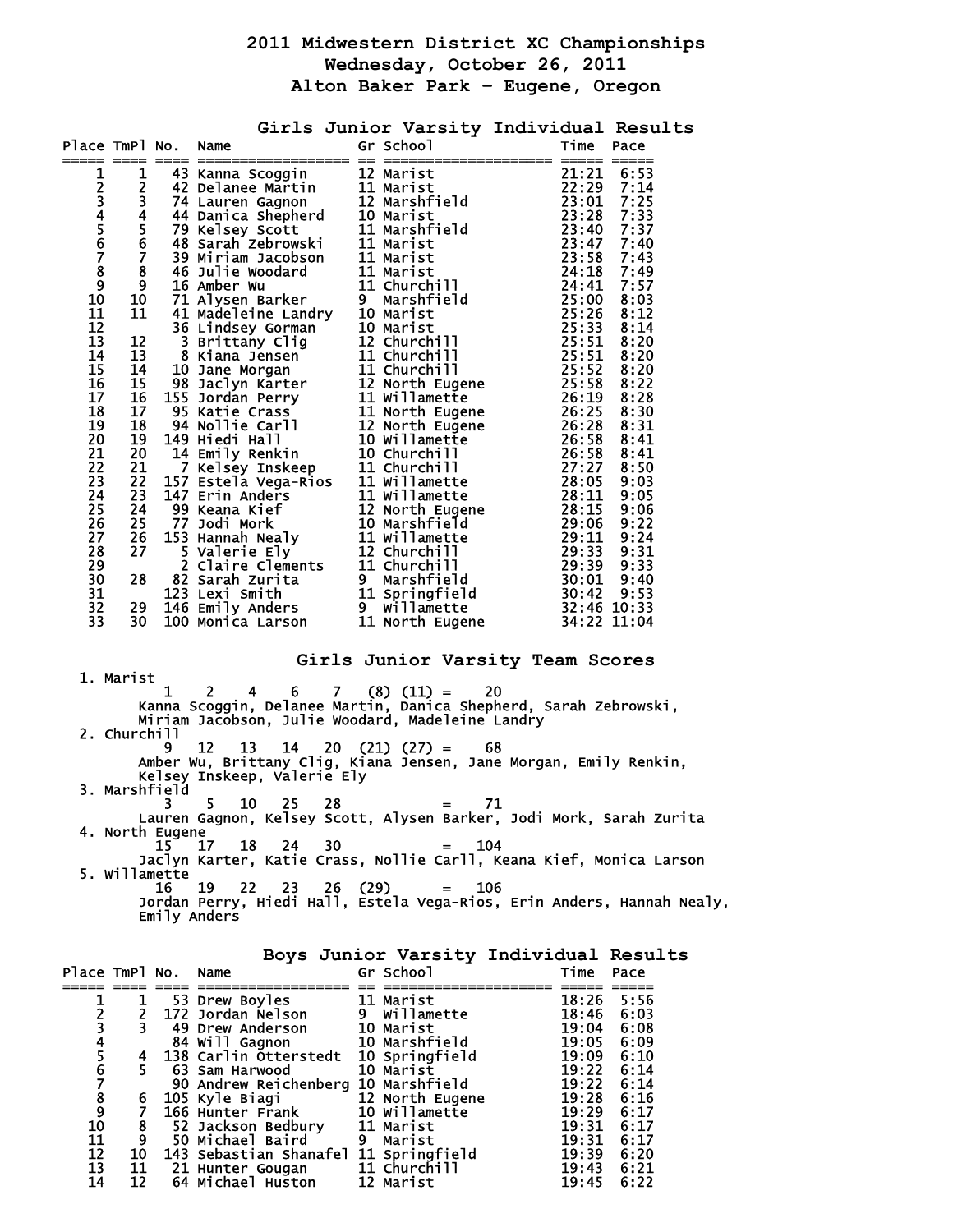## **2011 Midwestern District XC Championships Wednesday, October 26, 2011 Alton Baker Park – Eugene, Oregon**

|                                                                                                                                                        |                          |                                    | Place TmPl No. Name                                                                                                  |                                                                                    | Girls Junior Varsity Individual Results                                                                                                                                                   |
|--------------------------------------------------------------------------------------------------------------------------------------------------------|--------------------------|------------------------------------|----------------------------------------------------------------------------------------------------------------------|------------------------------------------------------------------------------------|-------------------------------------------------------------------------------------------------------------------------------------------------------------------------------------------|
| 1<br>2345678<br>$\overline{9}$<br>10<br>11<br>12<br>13<br>14<br>15<br>16<br>17<br>18<br>19<br>20<br>21<br>22<br>23<br>24<br>25<br>26<br>27<br>28<br>29 |                          |                                    |                                                                                                                      |                                                                                    |                                                                                                                                                                                           |
| 30<br>31<br>32                                                                                                                                         |                          |                                    |                                                                                                                      |                                                                                    |                                                                                                                                                                                           |
| 33                                                                                                                                                     |                          |                                    |                                                                                                                      |                                                                                    |                                                                                                                                                                                           |
|                                                                                                                                                        | 1. Marist                |                                    |                                                                                                                      |                                                                                    | Girls Junior Varsity Team Scores                                                                                                                                                          |
|                                                                                                                                                        | 2. Churchill             | 1<br>9                             | 2<br>12<br>Kelsey Inskeep, Valerie Ely                                                                               | 4  6  7  (8)  (11) = 20<br>$13 \quad 14 \quad 20 \quad (21) \quad (27) = \quad 68$ | Kanna Scoggin, Delanee Martin, Danica Shepherd, Sarah Zebrowski,<br>Miriam Jacobson, Julie Woodard, Madeleine Landry<br>Amber Wu, Brittany Clig, Kiana Jensen, Jane Morgan, Emily Renkin, |
|                                                                                                                                                        | 3. Marshfield            | 3.                                 | 5<br>10<br>25<br>28                                                                                                  | $=$ $-$                                                                            | 71                                                                                                                                                                                        |
|                                                                                                                                                        |                          | 4. North Eugene<br>15 <sup>7</sup> | 30<br>18<br>24<br>17                                                                                                 | $=$                                                                                | Lauren Gagnon, Kelsey Scott, Alysen Barker, Jodi Mork, Sarah Zurita<br>104                                                                                                                |
|                                                                                                                                                        |                          | 5. Willamette<br>16                | 19<br>23<br>22                                                                                                       | 26 (29)<br>106<br>$=$                                                              | Jaclyn Karter, Katie Crass, Nollie Carll, Keana Kief, Monica Larson<br>Jordan Perry, Hiedi Hall, Estela Vega-Rios, Erin Anders, Hannah Nealy,                                             |
|                                                                                                                                                        |                          |                                    | Emily Anders                                                                                                         |                                                                                    | Boys Junior Varsity Individual Results                                                                                                                                                    |
| Place TmPl No.                                                                                                                                         | ı                        |                                    | Name<br>53 Drew Boyles                                                                                               | Gr School<br>$=  -$<br>11 Marist                                                   | Time Pace<br>18:26<br>5:56                                                                                                                                                                |
| 12345678910                                                                                                                                            | 2<br>3                   |                                    | 172 Jordan Nelson<br><b>49 Drew Anderson</b>                                                                         | 9 Willamette<br>10 Marist                                                          | 18:46<br>6:03<br>19:04<br>6:08                                                                                                                                                            |
|                                                                                                                                                        | 4<br>5.                  |                                    | 84 Will Gagnon<br>138 Carlin Otterstedt 10 Springfield<br>63 Sam Harwood                                             | 10 Marshfield<br>10 Marist                                                         | 19:05<br>6:09<br>19:09<br>6:10<br>19:22<br>6:14                                                                                                                                           |
|                                                                                                                                                        | 6                        |                                    | 90 Andrew Reichenberg 10 Marshfield                                                                                  |                                                                                    | 19:22<br>6:14<br>19:28<br>6:16                                                                                                                                                            |
| 11                                                                                                                                                     | $\overline{7}$<br>8<br>9 |                                    | 105 Kyle Biagi 12 North Eugene<br>166 Hunter Frank 10 Willamette<br>52 Jackson Bedbury 11 Marist<br>50 Michael Baird | 9 Marist                                                                           | 19:29<br>6:17<br>19:31<br>6:17<br>19:31<br>6:17                                                                                                                                           |

 12 10 143 Sebastian Shanafel 11 Springfield 19:39 6:20 13 11 21 Hunter Gougan 11 Churchill 19:43 6:21 14 12 64 Michael Huston 12 Marist 19:45 6:22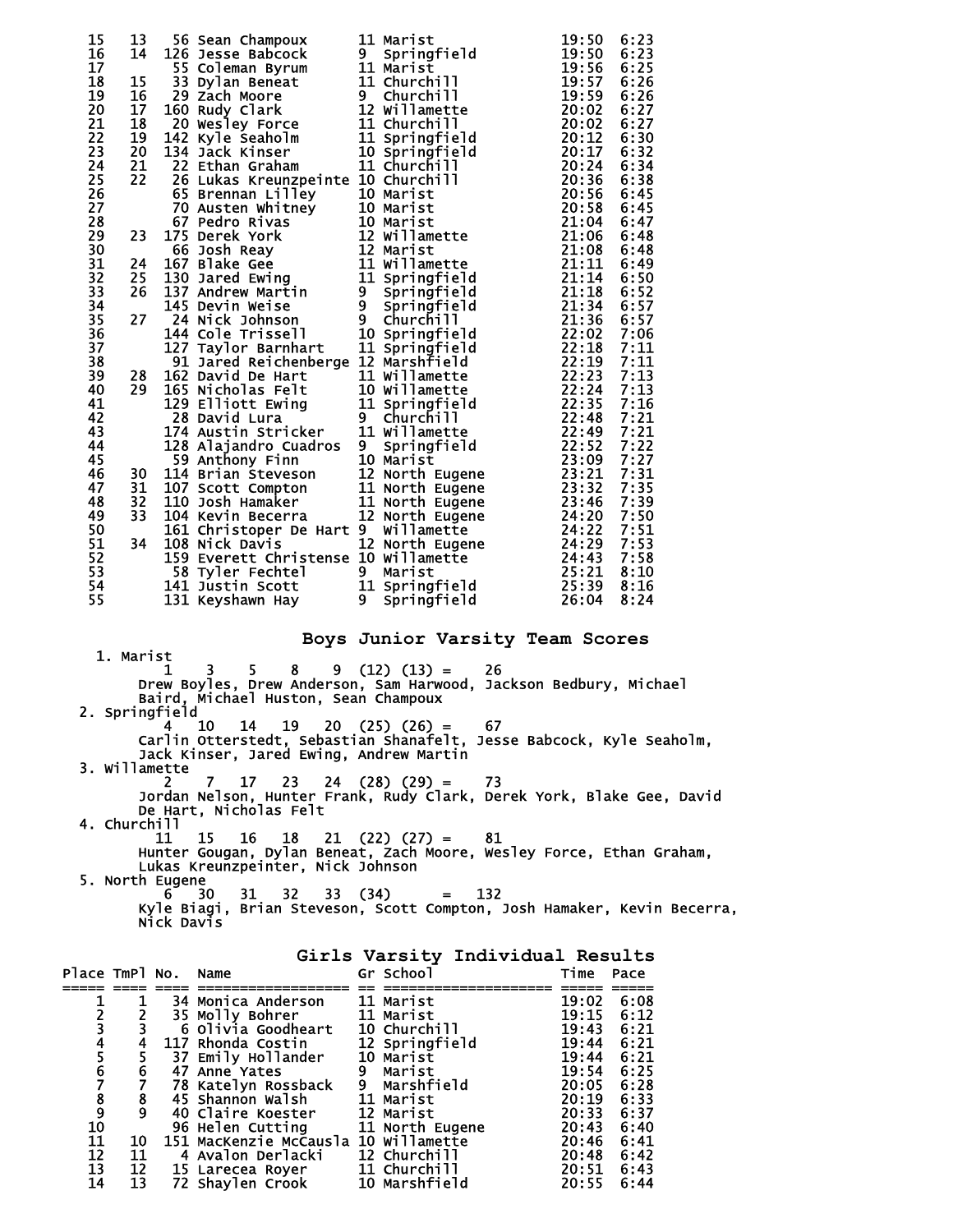| 15                         | 13 | 56 Sean Champoux                                                                                           | 11 Marist                                                                                                                                                                                                                                     | 19:50 | 6:23 |
|----------------------------|----|------------------------------------------------------------------------------------------------------------|-----------------------------------------------------------------------------------------------------------------------------------------------------------------------------------------------------------------------------------------------|-------|------|
| 16                         | 14 |                                                                                                            | Springfield                                                                                                                                                                                                                                   | 19:50 | 6:23 |
| 17                         |    |                                                                                                            |                                                                                                                                                                                                                                               | 19:56 | 6:25 |
| 18                         | 15 | 126 Jesse Babcock<br>126 Jesse Babcock<br>55 Coleman Byrum<br>11 Marist<br>33 Dylan Beneat<br>11 Churchill |                                                                                                                                                                                                                                               | 19:57 | 6:26 |
| 19                         | 16 |                                                                                                            |                                                                                                                                                                                                                                               | 19:59 | 6:26 |
| 20                         | 17 |                                                                                                            |                                                                                                                                                                                                                                               | 20:02 | 6:27 |
| 21                         | 18 |                                                                                                            |                                                                                                                                                                                                                                               | 20:02 | 6:27 |
| $\overline{2}\overline{2}$ | 19 |                                                                                                            |                                                                                                                                                                                                                                               | 20:12 | 6:30 |
| $\overline{2}\overline{3}$ |    |                                                                                                            | 29 Zach Moore<br>160 Rudy Clark<br>20 Wesley Force<br>20 Wesley Force<br>11 Churchill<br>142 Kyle Seaholm<br>11 Springfield<br>134 Jack Kinser<br>10 Springfield                                                                              |       |      |
|                            | 20 |                                                                                                            |                                                                                                                                                                                                                                               | 20:17 | 6:32 |
| 24                         | 21 | 22 Ethan Graham                                                                                            | 11 Churchill                                                                                                                                                                                                                                  | 20:24 | 6:34 |
| 25                         | 22 | 26 Lukas Kreunzpeinte 10 Churchill                                                                         |                                                                                                                                                                                                                                               | 20:36 | 6:38 |
| 26                         |    | 65 Brennan Lilley                                                                                          | 10 Marist                                                                                                                                                                                                                                     | 20:56 | 6:45 |
| 27                         |    |                                                                                                            |                                                                                                                                                                                                                                               |       | 6:45 |
| 28                         |    |                                                                                                            |                                                                                                                                                                                                                                               |       | 6:47 |
| 29                         | 23 |                                                                                                            |                                                                                                                                                                                                                                               |       | 6:48 |
| 30                         |    |                                                                                                            |                                                                                                                                                                                                                                               |       | 6:48 |
| 31                         | 24 |                                                                                                            |                                                                                                                                                                                                                                               |       | 6:49 |
| $\overline{3}2$            | 25 |                                                                                                            |                                                                                                                                                                                                                                               |       | 6:50 |
| 33                         | 26 |                                                                                                            |                                                                                                                                                                                                                                               |       | 6:52 |
| 34                         |    |                                                                                                            |                                                                                                                                                                                                                                               |       | 6:57 |
| 35                         | 27 |                                                                                                            |                                                                                                                                                                                                                                               |       | 6:57 |
| $\overline{36}$            |    |                                                                                                            |                                                                                                                                                                                                                                               |       | 7:06 |
| $\overline{37}$            |    |                                                                                                            |                                                                                                                                                                                                                                               |       | 7:11 |
| 38                         |    |                                                                                                            |                                                                                                                                                                                                                                               |       | 7:11 |
| 39                         | 28 |                                                                                                            |                                                                                                                                                                                                                                               |       | 7:13 |
| 40                         | 29 |                                                                                                            |                                                                                                                                                                                                                                               |       | 7:13 |
| 41                         |    |                                                                                                            |                                                                                                                                                                                                                                               |       | 7:16 |
| 42                         |    |                                                                                                            |                                                                                                                                                                                                                                               |       | 7:21 |
| 43                         |    |                                                                                                            |                                                                                                                                                                                                                                               |       | 7:21 |
| 44                         |    |                                                                                                            |                                                                                                                                                                                                                                               |       | 7:22 |
| 45                         |    |                                                                                                            |                                                                                                                                                                                                                                               |       | 7:27 |
| 46                         |    |                                                                                                            |                                                                                                                                                                                                                                               |       |      |
|                            | 30 |                                                                                                            |                                                                                                                                                                                                                                               |       | 7:31 |
| 47                         | 31 |                                                                                                            |                                                                                                                                                                                                                                               |       | 7:35 |
| 48                         | 32 |                                                                                                            |                                                                                                                                                                                                                                               |       | 7:39 |
| 49                         | 33 |                                                                                                            |                                                                                                                                                                                                                                               |       | 7:50 |
| 50                         |    |                                                                                                            |                                                                                                                                                                                                                                               |       | 7:51 |
| 51                         | 34 |                                                                                                            | 26 Lukas Kreunzpeinte 10 Church 11<br>65 Brennan Lilley 10 Marist<br>20:566<br>65 Brennan Lilley 10 Marist<br>12 20:58<br>70 Austen Whitney 10 Marist<br>12 Willamette 21:08<br>167 Bake Gee 11 Willamette 21:11<br>145 Developed Environment |       | 7:53 |
| 52                         |    |                                                                                                            |                                                                                                                                                                                                                                               |       | 7:58 |
| 53                         |    |                                                                                                            |                                                                                                                                                                                                                                               |       | 8:10 |
| 54                         |    | 141 Justin Scott 11 Springfield                                                                            |                                                                                                                                                                                                                                               | 25:39 | 8:16 |
| 55                         |    | 131 Keyshawn Hay               9                                                                           | Springfield                                                                                                                                                                                                                                   | 26:04 | 8:24 |
|                            |    |                                                                                                            |                                                                                                                                                                                                                                               |       |      |

1. Marist

**Boys Junior Varsity Team Scores** 

 $1 \quad 3 \quad 5 \quad 8 \quad 9 \quad (12) \quad (13) = \quad 26$  Drew Boyles, Drew Anderson, Sam Harwood, Jackson Bedbury, Michael Baird, Michael Huston, Sean Champoux 2. Springfield  $4 \quad 10 \quad 14 \quad 19 \quad 20 \quad (25) \quad (26) = \quad 67$ myrterd<br>Carlin Otterstedt, Sebastian Shanafelt, Jesse Babcock, Kyle Seaholm,<br>Jack Kinser, Jared Ewing, Andrew Martin Jack Kinser, Jared Ewing, Andrew Martin 3. Willamette 2 7 17 23 24 (28) (29) = 73 Jordan Nelson, Hunter Frank, Rudy Clark, Derek York, Blake Gee, David De Hart, Nicholas Felt 4. Churchill 11 15 16 18 21 (22) (27) = 81 Hunter Gougan, Dylan Beneat, Zach Moore, Wesley Force, Ethan Graham, Lukas Kreunzpeinter, Nick Johnson 5. North Eugene 6 30 31 32 33 (34) = 132 Kyle Biagi, Brian Steveson, Scott Compton, Josh Hamaker, Kevin Becerra, Nick Davis

|                                                 |                 |                                      | Girls Varsity Individual Results |            |      |
|-------------------------------------------------|-----------------|--------------------------------------|----------------------------------|------------|------|
| Place TmPl No. Name                             |                 |                                      | Gr School                        | Time       | Pace |
|                                                 |                 | 34 Monica Anderson                   | 11 Marist                        | 19:02      | 6:08 |
|                                                 |                 | 35 Molly Bohrer                      | 11 Marist                        | 19:15      | 6:12 |
|                                                 |                 | 6 Olivia Goodheart                   | 10 Churchill                     | 19:43      | 6:21 |
|                                                 | 4               | 117 Rhonda Costin                    | 12 Springfield                   | 19:44      | 6:21 |
|                                                 |                 | 37 Emily Hollander                   | 10 Marist                        | 19:44      | 6:21 |
|                                                 |                 | 47 Anne Yates                        | 9 Marist                         | 19:54      | 6:25 |
|                                                 | $\frac{6}{7}$   | 78 Katelyn Rossback                  | 9 Marshfield                     | 20:05      | 6:28 |
|                                                 | $\frac{8}{9}$   | 45 Shannon Walsh                     | 11 Marist                        | 20:19      | 6:33 |
| 2<br>3<br>4<br>5<br>6<br>7<br>8<br>9<br>0<br>10 |                 | 40 Claire Koester                    | 12 Marist                        | 20:33      | 6:37 |
|                                                 |                 | 96 Helen Cutting                     | <b>11 North Eugene</b>           | 20:43      | 6:40 |
| 11                                              | 10              | 151 MacKenzie McCausla 10 Willamette |                                  | 20:46      | 6:41 |
|                                                 | 11              | 4 Avalon Derlacki                    | 12 Churchill                     | 20:48      | 6:42 |
| $\frac{1}{13}$                                  | 12              | 15 Larecea Royer                     | <b>11 Churchill</b>              | 20:51 6:43 |      |
| 14                                              | $\overline{13}$ | 72 Shaylen Crook                     | 10 Marshfield                    | 20:55      | 6:44 |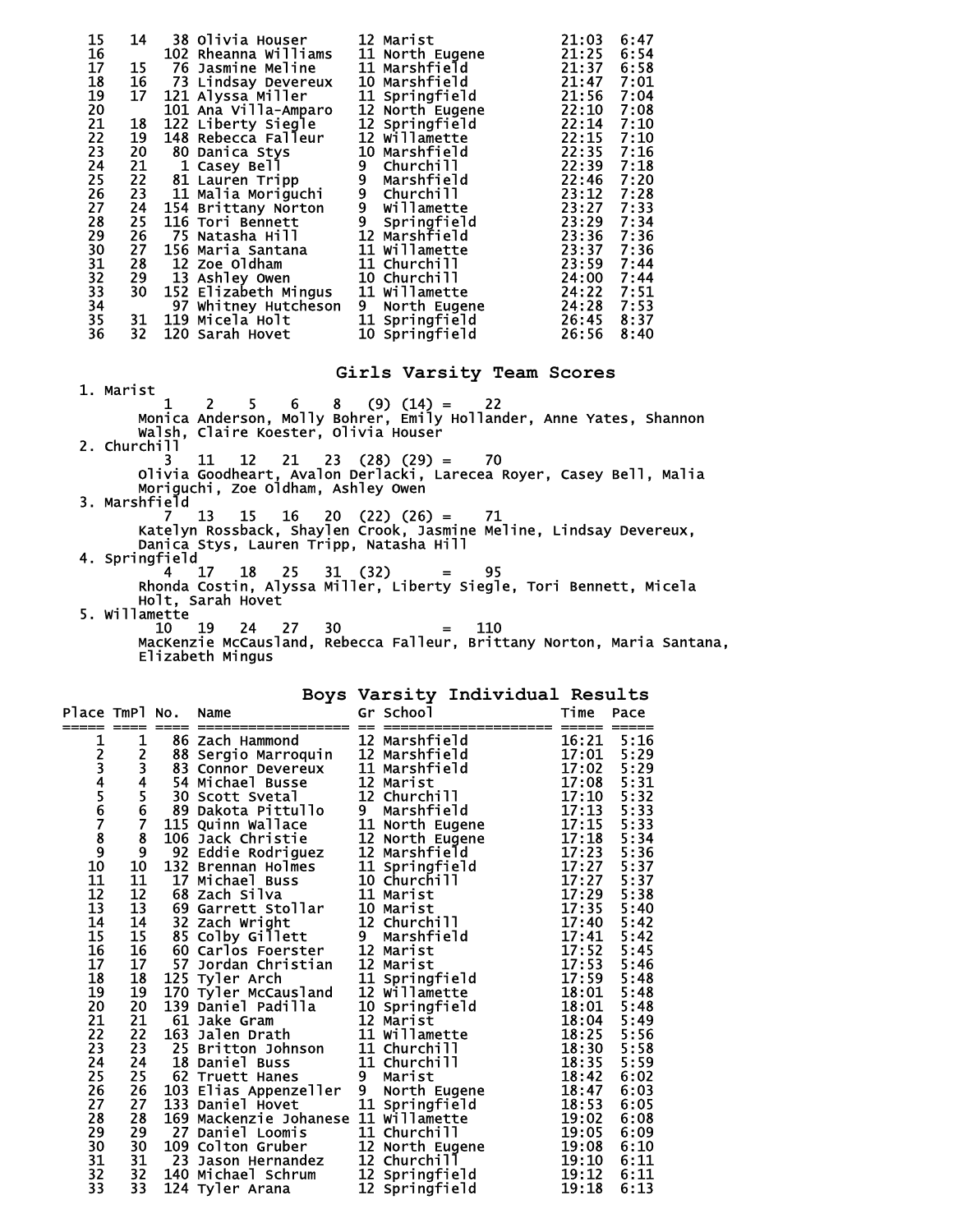| 15       | 14              | 38 Olivia Houser     | 12 Marist                     | 6:47<br>21:03 |  |
|----------|-----------------|----------------------|-------------------------------|---------------|--|
| 16       |                 | 102 Rheanna Williams | 11 North Eugene               | 21:25<br>6:54 |  |
| 17       | 15              | 76 Jasmine Meline    | 11 Marshfield                 | 21:37<br>6:58 |  |
| 18       | 16              | 73 Lindsay Devereux  | <b>10 Marshfield</b>          | 21:47<br>7:01 |  |
| 19       | 17              | 121 Alyssa Miller    | 11 Springfield                | 21:56<br>7:04 |  |
| 20       |                 | 101 Ana Villa-Amparo | 12 North Eugene               | 22:10<br>7:08 |  |
| 21       | 18              | 122 Liberty Siegle   | 12 Springfield                | 22:14<br>7:10 |  |
| 22       | 19              | 148 Rebecca Falleur  | 12 Willamette                 | 22:15<br>7:10 |  |
| 23       | 20              | 80 Danica Stys       | 10 Marshfield                 | 22:35<br>7:16 |  |
| 24       | 21              | 1 Casey Bell         | 9<br>Churchi <sub>11</sub>    | 22:39<br>7:18 |  |
| 25       |                 | 22 81 Lauren Tripp   | $\tilde{9}$<br>Marshfield     | 7:20<br>22:46 |  |
| 26       | 23              | 11 Malia Moriguchi   | 9<br>Churchi <sub>11</sub>    | 23:12<br>7:28 |  |
| 27       | 24              | 154 Brittany Norton  | 9 willamette<br>9 Springfield | 7:33<br>23:27 |  |
| 28       | 25              | 116 Tori Bennett     |                               | 23:29<br>7:34 |  |
| 29       | 26              | 75 Natasha Hill      | 12 Marshfield                 | 23:36<br>7:36 |  |
| 30       | 27              | 156 Maria Santana    | 11 Willamette                 | 23:37<br>7:36 |  |
| 31       | 28              | <b>12 Zoe Oldham</b> | 11 Churchill                  | 7:44<br>23:59 |  |
|          | 29              | 13 Ashley Owen       | 10 Churchill                  | 24:00<br>7:44 |  |
| 32<br>33 | 30 <sub>2</sub> | 152 Elizabeth Mingus | 11 Willamette                 | 24:22<br>7:51 |  |
| 34       |                 | 97 Whitney Hutcheson | 9 North Eugene                | 24:28<br>7:53 |  |
| 35       | 31              | 119 Micela Holt      | 11 Springfield                | 26:45<br>8:37 |  |
| 36       | 32              | 120 Sarah Hovet      | 10 Springfield                | 26:56<br>8:40 |  |
|          |                 |                      |                               |               |  |

**Girls Varsity Team Scores** 

1. Marist  $\begin{bmatrix} 1 & 2 \\ 1 & 2 \end{bmatrix}$  $1 \quad 2 \quad 5 \quad 6 \quad 8 \quad (9) \quad (14) = \quad 22$  Monica Anderson, Molly Bohrer, Emily Hollander, Anne Yates, Shannon Walsh, Claire Koester, Olivia Houser 2.  $\text{Church}^{\text{wai}}_{3}$  11 3 11 12 21 23 (28) (29) = 70 Olivia Goodheart, Avalon Derlacki, Larecea Royer, Casey Bell, Malia Moriguchi, Zoe Oldham, Ashley Owen 3. Marshfield 7 13 15 16 20 (22) (26) = 71 Katelyn Rossback, Shaylen Crook, Jasmine Meline, Lindsay Devereux, Danica Stys, Lauren Tripp, Natasha Hill 4. Springfield 4 17 18 25 31 (32) = 95 Rhonda Costin, Alyssa Miller, Liberty Siegle, Tori Bennett, Micela Holt, Sarah Hovet 5. Willamette  $10$  19 10 19 24 27 30 = 110

 MacKenzie McCausland, Rebecca Falleur, Brittany Norton, Maria Santana, Elizabeth Mingus

|                              |                         |      |                                                                                                                                                                                                                                                               |                          |                                                                                 | Boys Varsity Individual Results   |                                           |              |
|------------------------------|-------------------------|------|---------------------------------------------------------------------------------------------------------------------------------------------------------------------------------------------------------------------------------------------------------------|--------------------------|---------------------------------------------------------------------------------|-----------------------------------|-------------------------------------------|--------------|
| Place TmPl No.<br>===== ==== |                         | ==== | Name<br>==================                                                                                                                                                                                                                                    |                          | Gr School                                                                       | == ==================== ==== ==== | Time                                      | Pace         |
| 1                            | 1                       |      | 86 Zach Hammond                                                                                                                                                                                                                                               |                          | 12 Marshfield                                                                   |                                   | 16:21                                     | 5:16         |
|                              | $\overline{\mathbf{c}}$ |      |                                                                                                                                                                                                                                                               |                          |                                                                                 |                                   | 17:01                                     | 5:29         |
|                              |                         |      |                                                                                                                                                                                                                                                               |                          |                                                                                 |                                   | 17:02                                     | 5:29         |
| 23456789                     | 34567                   |      | 88 Sergio Marroquin 12 Marshfield<br>83 Connor Devereux 11 Marshfield<br>54 Michael Busse 12 Marist<br>30 Scott Svetal 12 Churchill                                                                                                                           |                          |                                                                                 |                                   | 17:08<br>17:10<br>17:13<br>17:15<br>17:18 | 5:31         |
|                              |                         |      |                                                                                                                                                                                                                                                               |                          |                                                                                 |                                   |                                           | 5:32         |
|                              |                         |      | 89 Dakota Pittullo                                                                                                                                                                                                                                            | $\overline{\phantom{a}}$ | Marshfield                                                                      |                                   |                                           | 5:33         |
|                              |                         |      | 115 Quinn Wallace                                                                                                                                                                                                                                             |                          | 11 North Eugene                                                                 |                                   |                                           | 5:33         |
|                              | $\frac{8}{9}$           |      | 106 Jack Christie 12 North Eugene                                                                                                                                                                                                                             |                          |                                                                                 |                                   |                                           | 5:34         |
|                              |                         |      | 92 Eddie Rodriguez 12 Marshfield                                                                                                                                                                                                                              |                          |                                                                                 |                                   | 17:23                                     | 5:36         |
| 10                           | 10                      | 132  | Brennan Holmes<br>Michael Buss<br>20 Michael Buss<br>20 Michael Buss<br>20 11 Marist                                                                                                                                                                          |                          |                                                                                 |                                   | 17:27<br>17:27<br>17:29                   | 5:37         |
| 11                           | 11                      |      | 17 Michael Buss                                                                                                                                                                                                                                               |                          |                                                                                 |                                   |                                           | 5:37         |
| 12                           | 12                      |      | 68 Zach Silva                                                                                                                                                                                                                                                 |                          |                                                                                 |                                   |                                           | 5:38         |
| 13                           | $\frac{1}{13}$<br>14    |      | 69 Garrett Stollar                                                                                                                                                                                                                                            |                          | 10 Marist                                                                       |                                   | 17:35                                     | 5:40         |
| $\overline{14}$              |                         |      | 32 Zach Wright                                                                                                                                                                                                                                                |                          | 12 Churchill                                                                    |                                   | 17:40                                     | 5:42         |
| 15                           | 15                      |      | 85 Colby Gillett                                                                                                                                                                                                                                              | $\overline{9}$           | Marshfield                                                                      |                                   | 17:41                                     | 5:42         |
| 16                           | 16                      |      | 60 Carlos Foerster                                                                                                                                                                                                                                            |                          | 12 Marist                                                                       |                                   | 17:52                                     | 5:45         |
| $\overline{17}$              | 17                      |      | 57 Jordan Christian 12 Marist                                                                                                                                                                                                                                 |                          |                                                                                 |                                   | 17:53<br>17:59<br>18:01                   | 5:46         |
| 18                           | 18                      |      | 125 Tyler Arch                                                                                                                                                                                                                                                |                          |                                                                                 |                                   |                                           | 5:48         |
| 19                           | 19                      |      | 170 Tyler McCausland                                                                                                                                                                                                                                          |                          |                                                                                 |                                   |                                           | 5:48         |
| 20                           | 20                      |      | 139 Daniel Padilla                                                                                                                                                                                                                                            |                          | 11 Springfield<br>12 Willamette<br>10 Springfield<br>12 Marist<br>11 Willamette |                                   | 18:01                                     | 5:48         |
| 21<br>22                     | 21<br>22                |      | 61 Jake Gram<br>163 Jalen Drath                                                                                                                                                                                                                               |                          |                                                                                 |                                   | 18:04<br>18:25                            | 5:49<br>5:56 |
| $\overline{2}\overline{3}$   | 23                      |      | 25 Britton Johnson                                                                                                                                                                                                                                            |                          | 11 Churchill                                                                    |                                   | 18:30                                     | 5:58         |
| 24                           | 24                      |      | 18 Daniel Buss                                                                                                                                                                                                                                                |                          | 11 Churchill                                                                    |                                   | 18:35                                     | 5:59         |
| 25                           | 25                      |      | 62 Truett Hanes                                                                                                                                                                                                                                               | 9                        | Marist                                                                          |                                   | 18:42                                     | 6:02         |
| 26                           | 26                      |      | 103 Elias Appenzeller                                                                                                                                                                                                                                         | 9                        | North Eugene                                                                    |                                   | 18:47                                     | 6:03         |
| 27                           | 27                      |      |                                                                                                                                                                                                                                                               |                          |                                                                                 |                                   | 18:53                                     | 6:05         |
| 28                           | 28                      |      |                                                                                                                                                                                                                                                               |                          |                                                                                 |                                   | 19:02                                     | 6:08         |
| 29                           | 29                      |      | 133 Daniel Hovet<br>133 Daniel Hovet<br>169 Mackenzie Johanese 11 williamette<br>27 Daniel Loomis<br>11 Churchill<br>109 Colton Gruber<br>23 Jason Hernandez<br>12 North Eugene<br>12 Springfield<br>144 Michael Schrum<br>12 Springfield<br>27 Daniel Loomis |                          |                                                                                 |                                   | 19:05                                     | 6:09         |
| 30                           | 30 <sub>o</sub>         |      |                                                                                                                                                                                                                                                               |                          |                                                                                 |                                   | 19:08                                     | 6:10         |
| 31                           | 31                      |      | 23 Jason Hernandez                                                                                                                                                                                                                                            |                          |                                                                                 |                                   | 19:10                                     | 6:11         |
| 32                           | 32                      |      |                                                                                                                                                                                                                                                               |                          |                                                                                 |                                   | 19:12                                     | 6:11         |
| 33                           | 33                      |      | 124 Tyler Arana                                                                                                                                                                                                                                               |                          | 12 Springfield                                                                  |                                   | 19:18                                     | 6:13         |
|                              |                         |      |                                                                                                                                                                                                                                                               |                          |                                                                                 |                                   |                                           |              |